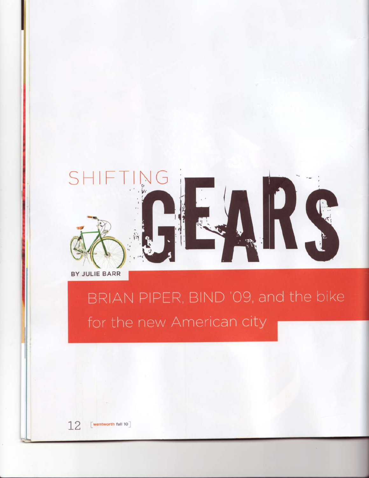

BY JULIE BARR

## BRIAN PIPER, BIND '09, and the bike for the new American city

[wentworth fall 10]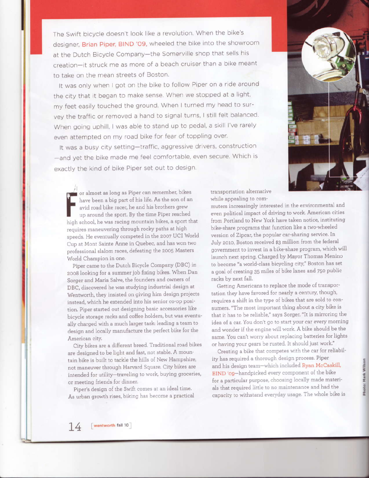The Swift bicycle doesn't look like a revolution. When the bike's designer, Brian Piper, BIND '09, wheeled the bike into the showroom at the Dutch Bicycle Company-the Somerville shop that sells his creation-it struck me as more of a beach cruiser than a bike meant to take on the mean streets of Boston.

It was only when I got on the bike to follow Piper on a ride around the city that it began to make sense. When we stopped at a light, my feet easily touched the ground. When I turned my head to survey the traffic or removed a hand to signal turns, I still felt balanced. When going uphill, I was able to stand up to pedal, a skill I've rarely even attempted on my road bike for fear of toppling over.

It was a busy city setting-traffic, aggressive drivers, construction -and yet the bike made me feel comfortable, even secure. Which is exactly the kind of bike Piper set out to design.

or almost as long as Piper can remember, bikes have been a big part of his life. As the son of an avid road bike racer, he and his brothers grew up around the sport. By the time Piper reached high school, he was racing mountain bikes, a sport that requires maneuvering through rocky paths at high speeds. He eventually competed in the 2007 UCI World Cup at Mont Sainte Anne in Quebec, and has won two professional slalom races, defeating the 2005 Masters World Champion in one.

Piper came to the Dutch Bicycle Company (DBC) in 2008 looking for a summer job fixing bikes. When Dan Sorger and Maria Salve, the founders and owners of DBC, discovered he was studying industrial design at Wentworth, they insisted on giving him design projects instead, which he extended into his senior co-op position. Piper started out designing basic accessories like bicycle storage racks and coffee holders, but was eventually charged with a much larger task: leading a team to design and locally manufacture the perfect bike for the American city.

City bikes are a different breed. Traditional road bikes are designed to be light and fast, not stable. A mountain bike is built to tackle the hills of New Hampshire, not maneuver through Harvard Square. City bikes are intended for utility-traveling to work, buying groceries, or meeting friends for dinner.

Piper's design of the Swift comes at an ideal time. As urban growth rises, biking has become a practical transportation alternative while appealing to com-

muters increasingly interested in the environmental and even political impact of driving to work. American cities from Portland to New York have taken notice, instituting bike-share programs that function like a two-wheeled version of Zipcar, the popular car-sharing service. In July 2010, Boston received \$3 million from the federal government to invest in a bike-share program, which will launch next spring. Charged by Mayor Thomas Menino to become "a world-class bicycling city," Boston has set a goal of creating 35 miles of bike lanes and 750 public racks by next fall.

Getting Americans to replace the mode of transportation they have favored for nearly a century, though, requires a shift in the type of bikes that are sold to consumers. "The most important thing about a city bike is that it has to be reliable," says Sorger. "It is mirroring the idea of a car. You don't go to start your car every morning and wonder if the engine will work. A bike should be the same. You can't worry about replacing batteries for lights or having your gears be rusted. It should just work."

Creating a bike that competes with the car for reliability has required a thorough design process. Piper and his design team-which included Ryan McCaskill, BIND '09-handpicked every component of the bike for a particular purpose, choosing locally made materials that required little to no maintenance and had the capacity to withstand everyday usage. The whole bike is



Mark Wilson